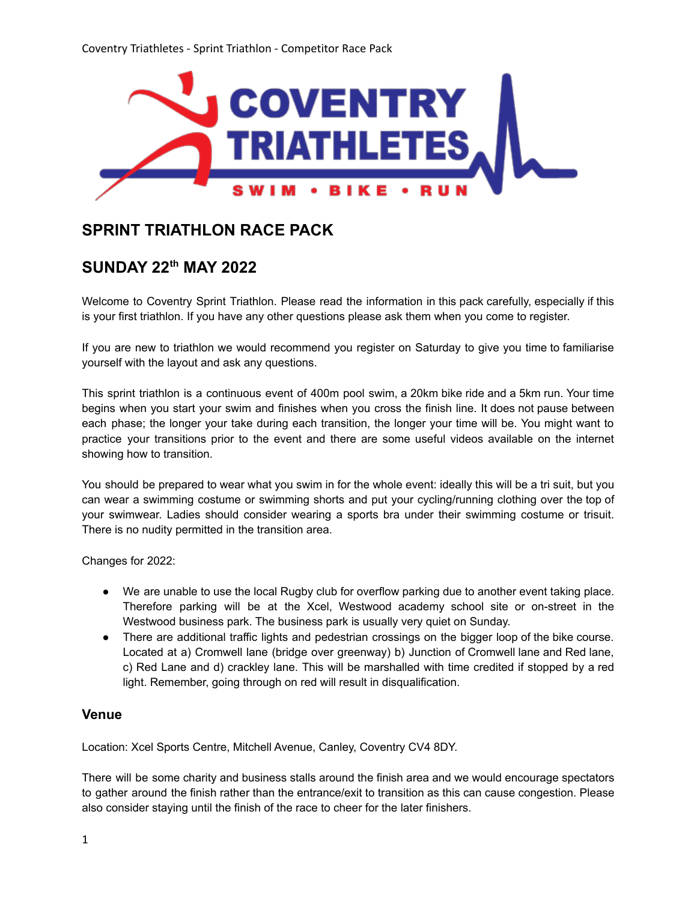

# **SPRINT TRIATHLON RACE PACK**

## **SUNDAY 22 th MAY 2022**

Welcome to Coventry Sprint Triathlon. Please read the information in this pack carefully, especially if this is your first triathlon. If you have any other questions please ask them when you come to register.

If you are new to triathlon we would recommend you register on Saturday to give you time to familiarise yourself with the layout and ask any questions.

This sprint triathlon is a continuous event of 400m pool swim, a 20km bike ride and a 5km run. Your time begins when you start your swim and finishes when you cross the finish line. It does not pause between each phase; the longer your take during each transition, the longer your time will be. You might want to practice your transitions prior to the event and there are some useful videos available on the internet showing how to transition.

You should be prepared to wear what you swim in for the whole event: ideally this will be a tri suit, but you can wear a swimming costume or swimming shorts and put your cycling/running clothing over the top of your swimwear. Ladies should consider wearing a sports bra under their swimming costume or trisuit. There is no nudity permitted in the transition area.

Changes for 2022:

- We are unable to use the local Rugby club for overflow parking due to another event taking place. Therefore parking will be at the Xcel, Westwood academy school site or on-street in the Westwood business park. The business park is usually very quiet on Sunday.
- There are additional traffic lights and pedestrian crossings on the bigger loop of the bike course. Located at a) Cromwell lane (bridge over greenway) b) Junction of Cromwell lane and Red lane, c) Red Lane and d) crackley lane. This will be marshalled with time credited if stopped by a red light. Remember, going through on red will result in disqualification.

#### **Venue**

Location: Xcel Sports Centre, Mitchell Avenue, Canley, Coventry CV4 8DY.

There will be some charity and business stalls around the finish area and we would encourage spectators to gather around the finish rather than the entrance/exit to transition as this can cause congestion. Please also consider staying until the finish of the race to cheer for the later finishers.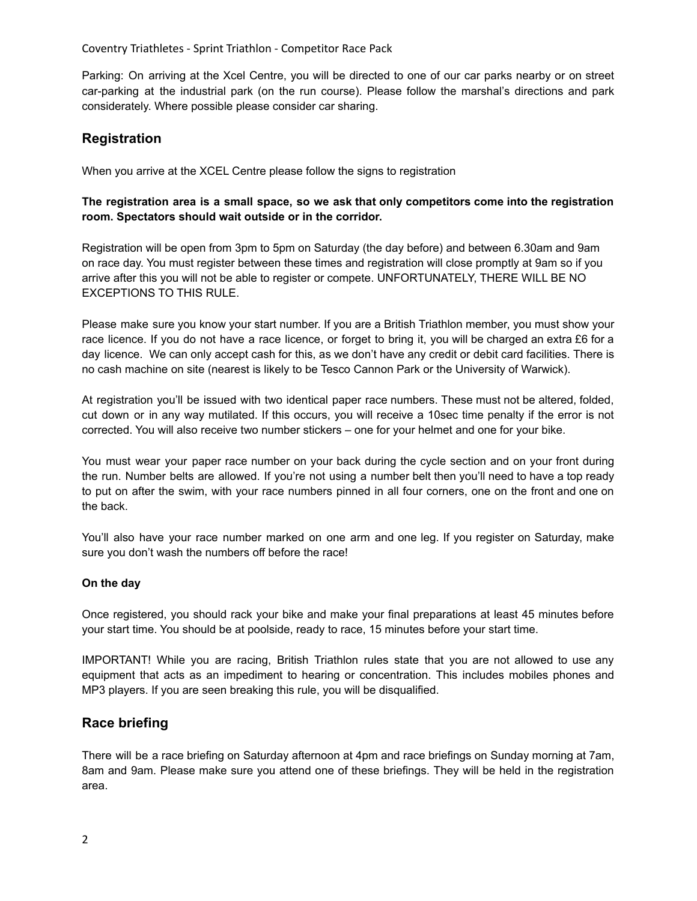Parking: On arriving at the Xcel Centre, you will be directed to one of our car parks nearby or on street car-parking at the industrial park (on the run course). Please follow the marshal's directions and park considerately. Where possible please consider car sharing.

## **Registration**

When you arrive at the XCEL Centre please follow the signs to registration

#### **The registration area is a small space, so we ask that only competitors come into the registration room. Spectators should wait outside or in the corridor.**

Registration will be open from 3pm to 5pm on Saturday (the day before) and between 6.30am and 9am on race day. You must register between these times and registration will close promptly at 9am so if you arrive after this you will not be able to register or compete. UNFORTUNATELY, THERE WILL BE NO EXCEPTIONS TO THIS RULE.

Please make sure you know your start number. If you are a British Triathlon member, you must show your race licence. If you do not have a race licence, or forget to bring it, you will be charged an extra £6 for a day licence. We can only accept cash for this, as we don't have any credit or debit card facilities. There is no cash machine on site (nearest is likely to be Tesco Cannon Park or the University of Warwick).

At registration you'll be issued with two identical paper race numbers. These must not be altered, folded, cut down or in any way mutilated. If this occurs, you will receive a 10sec time penalty if the error is not corrected. You will also receive two number stickers – one for your helmet and one for your bike.

You must wear your paper race number on your back during the cycle section and on your front during the run. Number belts are allowed. If you're not using a number belt then you'll need to have a top ready to put on after the swim, with your race numbers pinned in all four corners, one on the front and one on the back.

You'll also have your race number marked on one arm and one leg. If you register on Saturday, make sure you don't wash the numbers off before the race!

#### **On the day**

Once registered, you should rack your bike and make your final preparations at least 45 minutes before your start time. You should be at poolside, ready to race, 15 minutes before your start time.

IMPORTANT! While you are racing, British Triathlon rules state that you are not allowed to use any equipment that acts as an impediment to hearing or concentration. This includes mobiles phones and MP3 players. If you are seen breaking this rule, you will be disqualified.

#### **Race briefing**

There will be a race briefing on Saturday afternoon at 4pm and race briefings on Sunday morning at 7am, 8am and 9am. Please make sure you attend one of these briefings. They will be held in the registration area.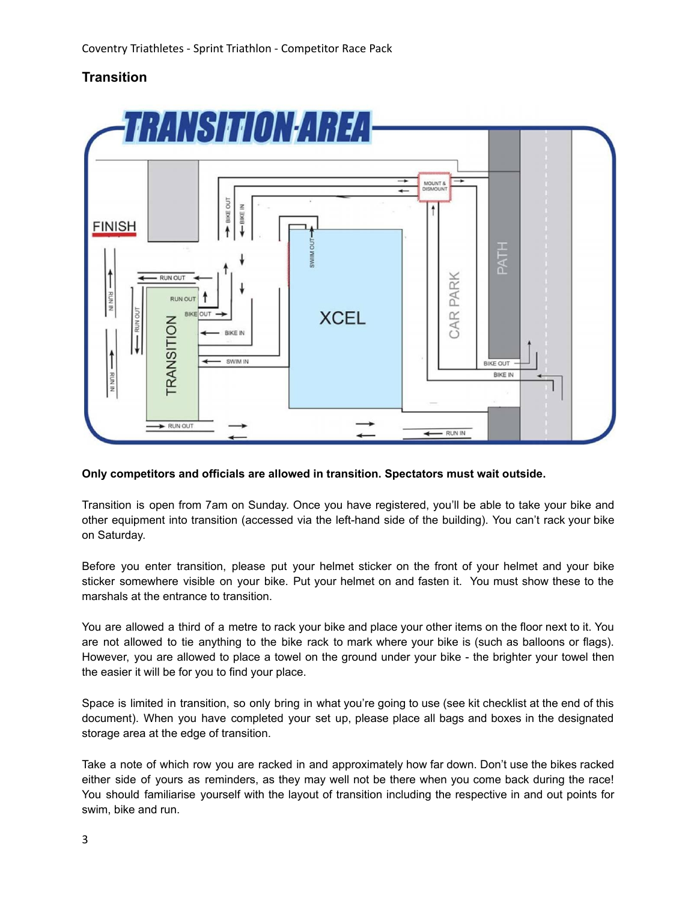## **Transition**



#### **Only competitors and officials are allowed in transition. Spectators must wait outside.**

Transition is open from 7am on Sunday. Once you have registered, you'll be able to take your bike and other equipment into transition (accessed via the left-hand side of the building). You can't rack your bike on Saturday.

Before you enter transition, please put your helmet sticker on the front of your helmet and your bike sticker somewhere visible on your bike. Put your helmet on and fasten it. You must show these to the marshals at the entrance to transition.

You are allowed a third of a metre to rack your bike and place your other items on the floor next to it. You are not allowed to tie anything to the bike rack to mark where your bike is (such as balloons or flags). However, you are allowed to place a towel on the ground under your bike - the brighter your towel then the easier it will be for you to find your place.

Space is limited in transition, so only bring in what you're going to use (see kit checklist at the end of this document). When you have completed your set up, please place all bags and boxes in the designated storage area at the edge of transition.

Take a note of which row you are racked in and approximately how far down. Don't use the bikes racked either side of yours as reminders, as they may well not be there when you come back during the race! You should familiarise yourself with the layout of transition including the respective in and out points for swim, bike and run.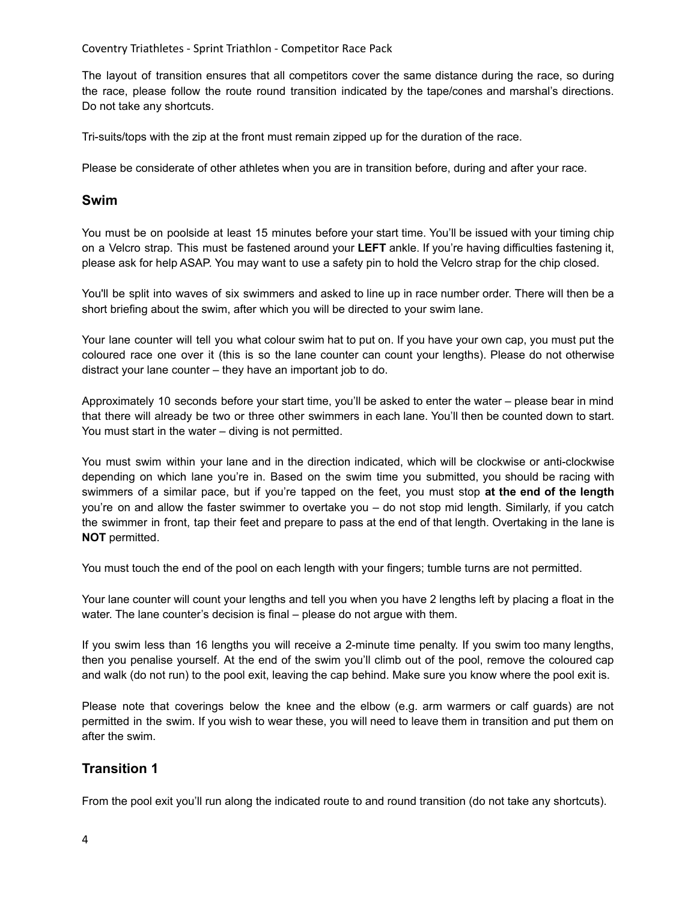The layout of transition ensures that all competitors cover the same distance during the race, so during the race, please follow the route round transition indicated by the tape/cones and marshal's directions. Do not take any shortcuts.

Tri-suits/tops with the zip at the front must remain zipped up for the duration of the race.

Please be considerate of other athletes when you are in transition before, during and after your race.

#### **Swim**

You must be on poolside at least 15 minutes before your start time. You'll be issued with your timing chip on a Velcro strap. This must be fastened around your **LEFT** ankle. If you're having difficulties fastening it, please ask for help ASAP. You may want to use a safety pin to hold the Velcro strap for the chip closed.

You'll be split into waves of six swimmers and asked to line up in race number order. There will then be a short briefing about the swim, after which you will be directed to your swim lane.

Your lane counter will tell you what colour swim hat to put on. If you have your own cap, you must put the coloured race one over it (this is so the lane counter can count your lengths). Please do not otherwise distract your lane counter – they have an important job to do.

Approximately 10 seconds before your start time, you'll be asked to enter the water – please bear in mind that there will already be two or three other swimmers in each lane. You'll then be counted down to start. You must start in the water – diving is not permitted.

You must swim within your lane and in the direction indicated, which will be clockwise or anti-clockwise depending on which lane you're in. Based on the swim time you submitted, you should be racing with swimmers of a similar pace, but if you're tapped on the feet, you must stop **at the end of the length** you're on and allow the faster swimmer to overtake you – do not stop mid length. Similarly, if you catch the swimmer in front, tap their feet and prepare to pass at the end of that length. Overtaking in the lane is **NOT** permitted.

You must touch the end of the pool on each length with your fingers; tumble turns are not permitted.

Your lane counter will count your lengths and tell you when you have 2 lengths left by placing a float in the water. The lane counter's decision is final – please do not argue with them.

If you swim less than 16 lengths you will receive a 2-minute time penalty. If you swim too many lengths, then you penalise yourself. At the end of the swim you'll climb out of the pool, remove the coloured cap and walk (do not run) to the pool exit, leaving the cap behind. Make sure you know where the pool exit is.

Please note that coverings below the knee and the elbow (e.g. arm warmers or calf guards) are not permitted in the swim. If you wish to wear these, you will need to leave them in transition and put them on after the swim.

## **Transition 1**

From the pool exit you'll run along the indicated route to and round transition (do not take any shortcuts).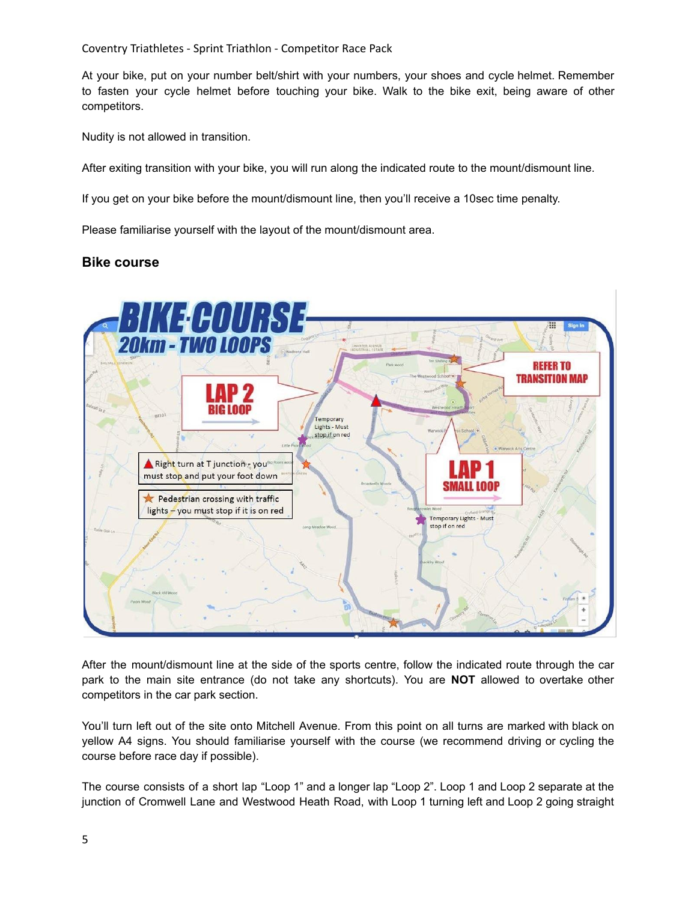At your bike, put on your number belt/shirt with your numbers, your shoes and cycle helmet. Remember to fasten your cycle helmet before touching your bike. Walk to the bike exit, being aware of other competitors.

Nudity is not allowed in transition.

After exiting transition with your bike, you will run along the indicated route to the mount/dismount line.

If you get on your bike before the mount/dismount line, then you'll receive a 10sec time penalty.

Please familiarise yourself with the layout of the mount/dismount area.

### **Bike course**



After the mount/dismount line at the side of the sports centre, follow the indicated route through the car park to the main site entrance (do not take any shortcuts). You are **NOT** allowed to overtake other competitors in the car park section.

You'll turn left out of the site onto Mitchell Avenue. From this point on all turns are marked with black on yellow A4 signs. You should familiarise yourself with the course (we recommend driving or cycling the course before race day if possible).

The course consists of a short lap "Loop 1" and a longer lap "Loop 2". Loop 1 and Loop 2 separate at the junction of Cromwell Lane and Westwood Heath Road, with Loop 1 turning left and Loop 2 going straight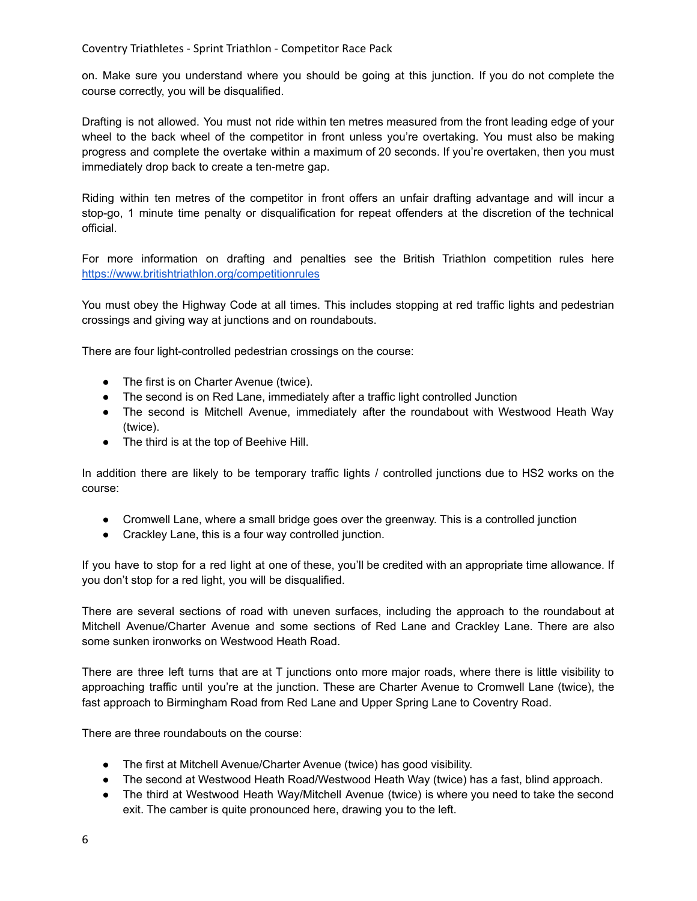on. Make sure you understand where you should be going at this junction. If you do not complete the course correctly, you will be disqualified.

Drafting is not allowed. You must not ride within ten metres measured from the front leading edge of your wheel to the back wheel of the competitor in front unless you're overtaking. You must also be making progress and complete the overtake within a maximum of 20 seconds. If you're overtaken, then you must immediately drop back to create a ten-metre gap.

Riding within ten metres of the competitor in front offers an unfair drafting advantage and will incur a stop-go, 1 minute time penalty or disqualification for repeat offenders at the discretion of the technical official.

For more information on drafting and penalties see the British Triathlon competition rules here <https://www.britishtriathlon.org/competitionrules>

You must obey the Highway Code at all times. This includes stopping at red traffic lights and pedestrian crossings and giving way at junctions and on roundabouts.

There are four light-controlled pedestrian crossings on the course:

- The first is on Charter Avenue (twice).
- The second is on Red Lane, immediately after a traffic light controlled Junction
- The second is Mitchell Avenue, immediately after the roundabout with Westwood Heath Way (twice).
- The third is at the top of Beehive Hill.

In addition there are likely to be temporary traffic lights / controlled junctions due to HS2 works on the course:

- Cromwell Lane, where a small bridge goes over the greenway. This is a controlled junction
- Crackley Lane, this is a four way controlled junction.

If you have to stop for a red light at one of these, you'll be credited with an appropriate time allowance. If you don't stop for a red light, you will be disqualified.

There are several sections of road with uneven surfaces, including the approach to the roundabout at Mitchell Avenue/Charter Avenue and some sections of Red Lane and Crackley Lane. There are also some sunken ironworks on Westwood Heath Road.

There are three left turns that are at T junctions onto more major roads, where there is little visibility to approaching traffic until you're at the junction. These are Charter Avenue to Cromwell Lane (twice), the fast approach to Birmingham Road from Red Lane and Upper Spring Lane to Coventry Road.

There are three roundabouts on the course:

- The first at Mitchell Avenue/Charter Avenue (twice) has good visibility.
- The second at Westwood Heath Road/Westwood Heath Way (twice) has a fast, blind approach.
- The third at Westwood Heath Way/Mitchell Avenue (twice) is where you need to take the second exit. The camber is quite pronounced here, drawing you to the left.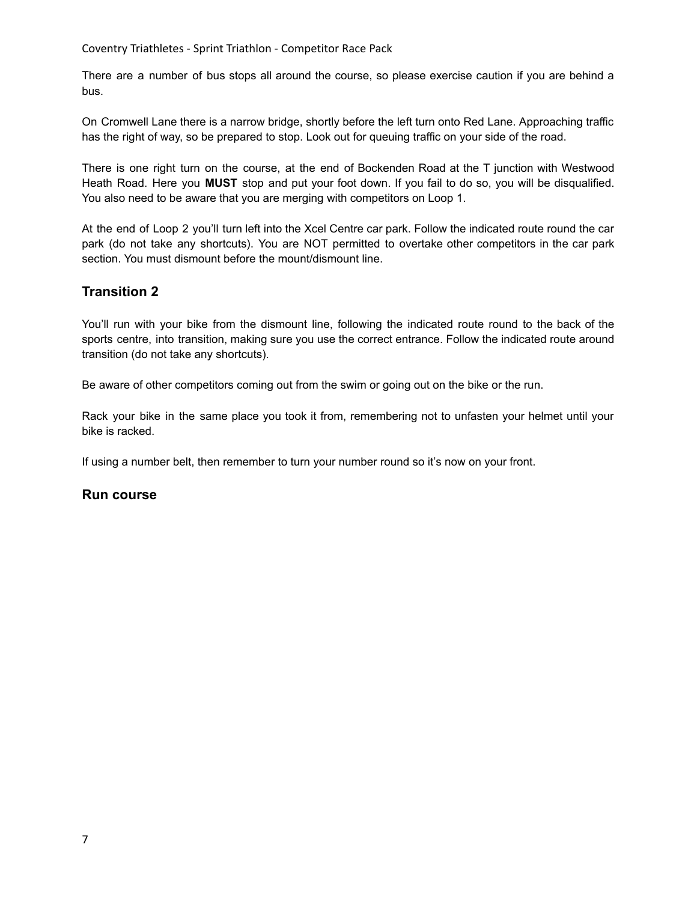There are a number of bus stops all around the course, so please exercise caution if you are behind a bus.

On Cromwell Lane there is a narrow bridge, shortly before the left turn onto Red Lane. Approaching traffic has the right of way, so be prepared to stop. Look out for queuing traffic on your side of the road.

There is one right turn on the course, at the end of Bockenden Road at the T junction with Westwood Heath Road. Here you **MUST** stop and put your foot down. If you fail to do so, you will be disqualified. You also need to be aware that you are merging with competitors on Loop 1.

At the end of Loop 2 you'll turn left into the Xcel Centre car park. Follow the indicated route round the car park (do not take any shortcuts). You are NOT permitted to overtake other competitors in the car park section. You must dismount before the mount/dismount line.

## **Transition 2**

You'll run with your bike from the dismount line, following the indicated route round to the back of the sports centre, into transition, making sure you use the correct entrance. Follow the indicated route around transition (do not take any shortcuts).

Be aware of other competitors coming out from the swim or going out on the bike or the run.

Rack your bike in the same place you took it from, remembering not to unfasten your helmet until your bike is racked.

If using a number belt, then remember to turn your number round so it's now on your front.

#### **Run course**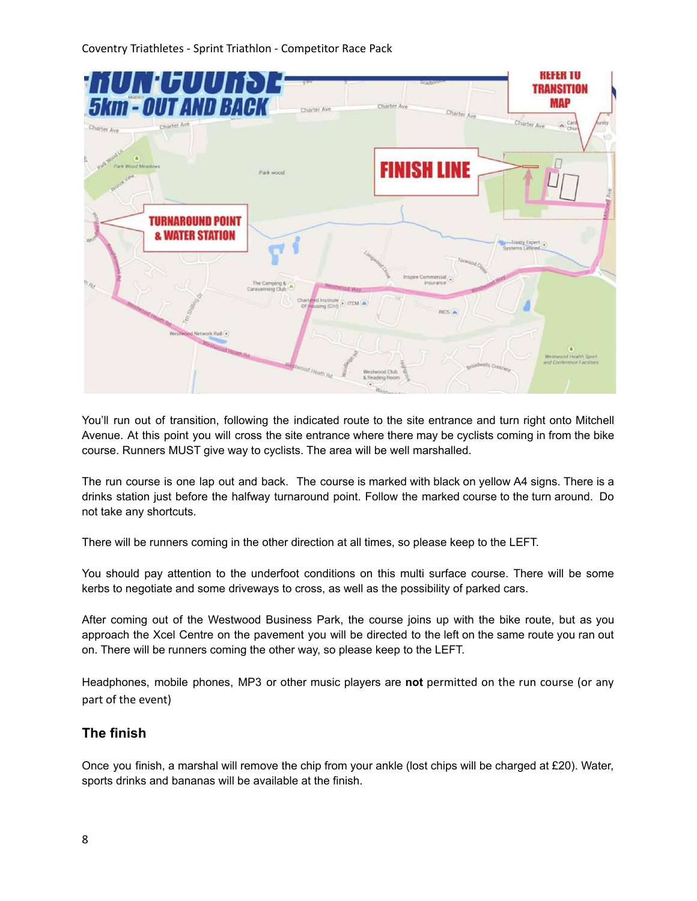

You'll run out of transition, following the indicated route to the site entrance and turn right onto Mitchell Avenue. At this point you will cross the site entrance where there may be cyclists coming in from the bike course. Runners MUST give way to cyclists. The area will be well marshalled.

The run course is one lap out and back. The course is marked with black on yellow A4 signs. There is a drinks station just before the halfway turnaround point. Follow the marked course to the turn around. Do not take any shortcuts.

There will be runners coming in the other direction at all times, so please keep to the LEFT.

You should pay attention to the underfoot conditions on this multi surface course. There will be some kerbs to negotiate and some driveways to cross, as well as the possibility of parked cars.

After coming out of the Westwood Business Park, the course joins up with the bike route, but as you approach the Xcel Centre on the pavement you will be directed to the left on the same route you ran out on. There will be runners coming the other way, so please keep to the LEFT.

Headphones, mobile phones, MP3 or other music players are **not** permitted on the run course (or any part of the event)

## **The finish**

Once you finish, a marshal will remove the chip from your ankle (lost chips will be charged at £20). Water, sports drinks and bananas will be available at the finish.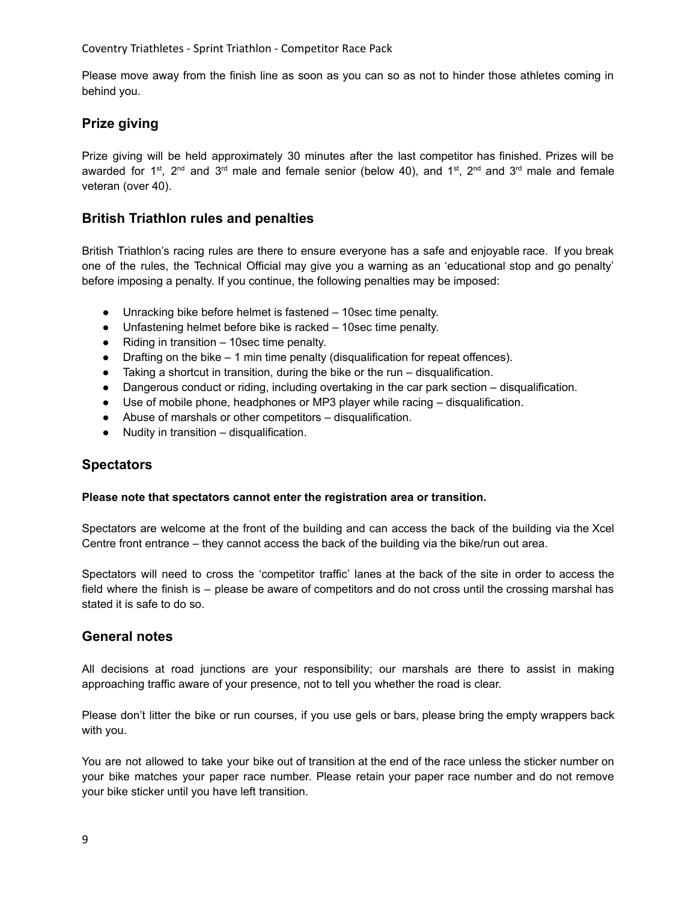Please move away from the finish line as soon as you can so as not to hinder those athletes coming in behind you.

## **Prize giving**

Prize giving will be held approximately 30 minutes after the last competitor has finished. Prizes will be awarded for 1<sup>st</sup>, 2<sup>nd</sup> and 3<sup>rd</sup> male and female senior (below 40), and 1<sup>st</sup>, 2<sup>nd</sup> and 3<sup>rd</sup> male and female veteran (over 40).

## **British Triathlon rules and penalties**

British Triathlon's racing rules are there to ensure everyone has a safe and enjoyable race. If you break one of the rules, the Technical Official may give you a warning as an 'educational stop and go penalty' before imposing a penalty. If you continue, the following penalties may be imposed:

- Unracking bike before helmet is fastened 10sec time penalty.
- Unfastening helmet before bike is racked 10sec time penalty.
- Riding in transition 10sec time penalty.
- $\bullet$  Drafting on the bike  $-1$  min time penalty (disqualification for repeat offences).
- $\bullet$  Taking a shortcut in transition, during the bike or the run disqualification.
- Dangerous conduct or riding, including overtaking in the car park section disqualification.
- Use of mobile phone, headphones or MP3 player while racing disqualification.
- Abuse of marshals or other competitors disqualification.
- Nudity in transition disqualification.

#### **Spectators**

#### **Please note that spectators cannot enter the registration area or transition.**

Spectators are welcome at the front of the building and can access the back of the building via the Xcel Centre front entrance – they cannot access the back of the building via the bike/run out area.

Spectators will need to cross the 'competitor traffic' lanes at the back of the site in order to access the field where the finish is – please be aware of competitors and do not cross until the crossing marshal has stated it is safe to do so.

#### **General notes**

All decisions at road junctions are your responsibility; our marshals are there to assist in making approaching traffic aware of your presence, not to tell you whether the road is clear.

Please don't litter the bike or run courses, if you use gels or bars, please bring the empty wrappers back with you.

You are not allowed to take your bike out of transition at the end of the race unless the sticker number on your bike matches your paper race number. Please retain your paper race number and do not remove your bike sticker until you have left transition.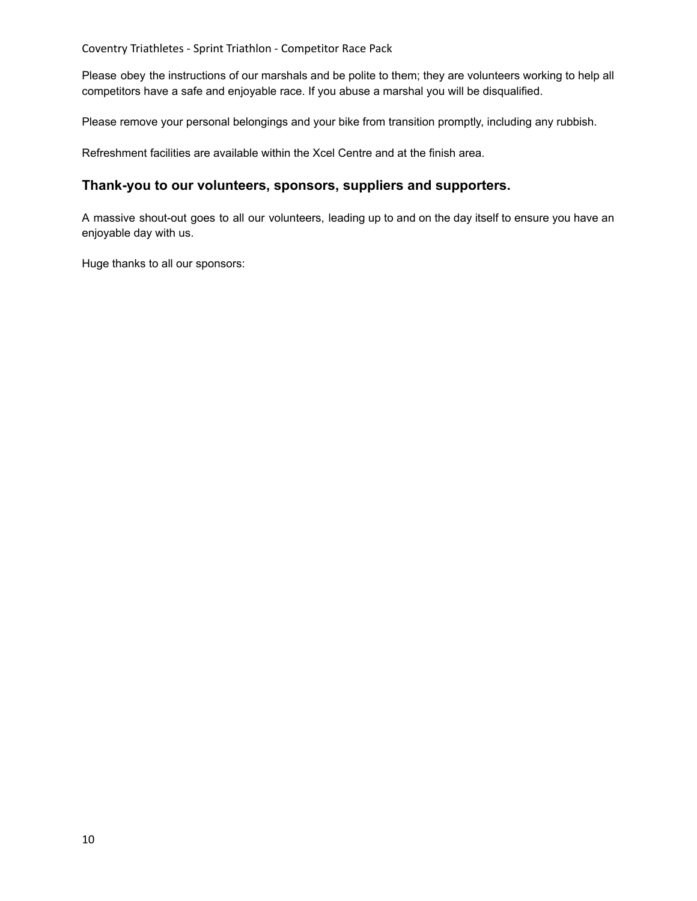Please obey the instructions of our marshals and be polite to them; they are volunteers working to help all competitors have a safe and enjoyable race. If you abuse a marshal you will be disqualified.

Please remove your personal belongings and your bike from transition promptly, including any rubbish.

Refreshment facilities are available within the Xcel Centre and at the finish area.

#### **Thank-you to our volunteers, sponsors, suppliers and supporters.**

A massive shout-out goes to all our volunteers, leading up to and on the day itself to ensure you have an enjoyable day with us.

Huge thanks to all our sponsors: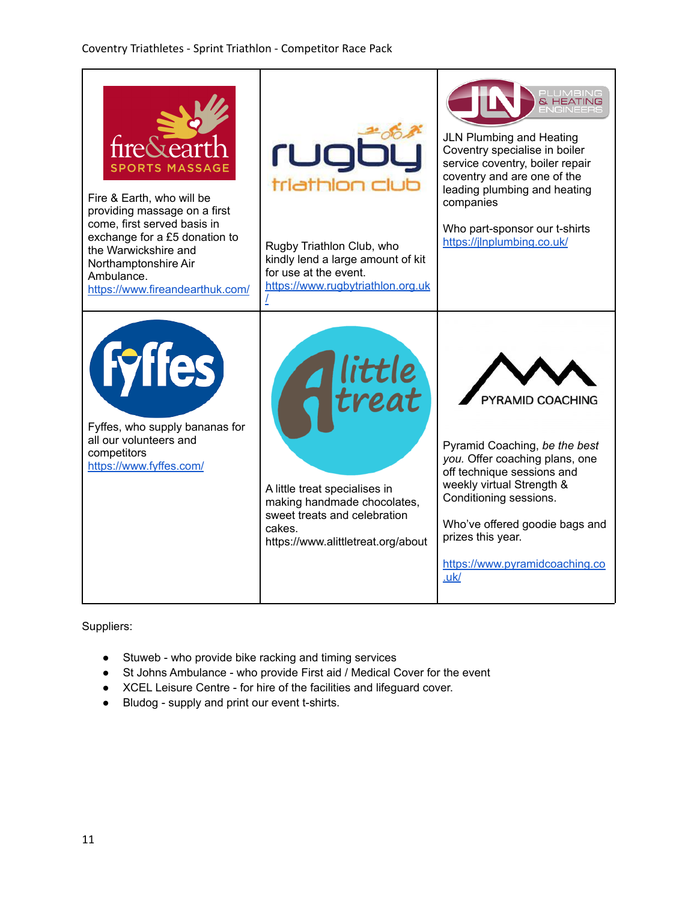| <b>SPORTS MASSAGE</b><br>Fire & Earth, who will be<br>providing massage on a first<br>come, first served basis in<br>exchange for a £5 donation to<br>the Warwickshire and<br>Northamptonshire Air<br>Ambulance.<br>https://www.fireandearthuk.com/ | rugt<br>triathlon club<br>Rugby Triathlon Club, who<br>kindly lend a large amount of kit<br>for use at the event.<br>https://www.rugbytriathlon.org.uk            | <b>JLN Plumbing and Heating</b><br>Coventry specialise in boiler<br>service coventry, boiler repair<br>coventry and are one of the<br>leading plumbing and heating<br>companies<br>Who part-sponsor our t-shirts<br>https://jlnplumbing.co.uk/                            |
|-----------------------------------------------------------------------------------------------------------------------------------------------------------------------------------------------------------------------------------------------------|-------------------------------------------------------------------------------------------------------------------------------------------------------------------|---------------------------------------------------------------------------------------------------------------------------------------------------------------------------------------------------------------------------------------------------------------------------|
| <b>(Fyffes)</b><br>Fyffes, who supply bananas for<br>all our volunteers and<br>competitors<br>https://www.fyffes.com/                                                                                                                               | Alittle<br>Atreat<br>A little treat specialises in<br>making handmade chocolates,<br>sweet treats and celebration<br>cakes.<br>https://www.alittletreat.org/about | PYRAMID COACHING<br>Pyramid Coaching, be the best<br>you. Offer coaching plans, one<br>off technique sessions and<br>weekly virtual Strength &<br>Conditioning sessions.<br>Who've offered goodie bags and<br>prizes this year.<br>https://www.pyramidcoaching.co<br>.uk/ |

Suppliers:

- Stuweb who provide bike racking and timing services
- St Johns Ambulance who provide First aid / Medical Cover for the event
- XCEL Leisure Centre for hire of the facilities and lifeguard cover.
- Bludog supply and print our event t-shirts.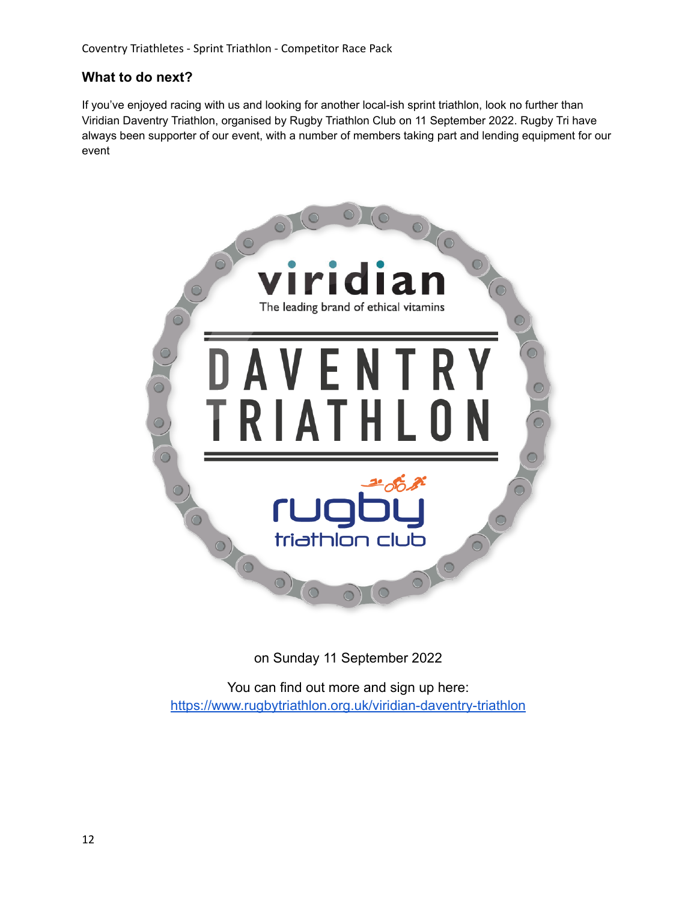## **What to do next?**

If you've enjoyed racing with us and looking for another local-ish sprint triathlon, look no further than Viridian Daventry Triathlon, organised by Rugby Triathlon Club on 11 September 2022. Rugby Tri have always been supporter of our event, with a number of members taking part and lending equipment for our event



on Sunday 11 September 2022

You can find out more and sign up here: <https://www.rugbytriathlon.org.uk/viridian-daventry-triathlon>